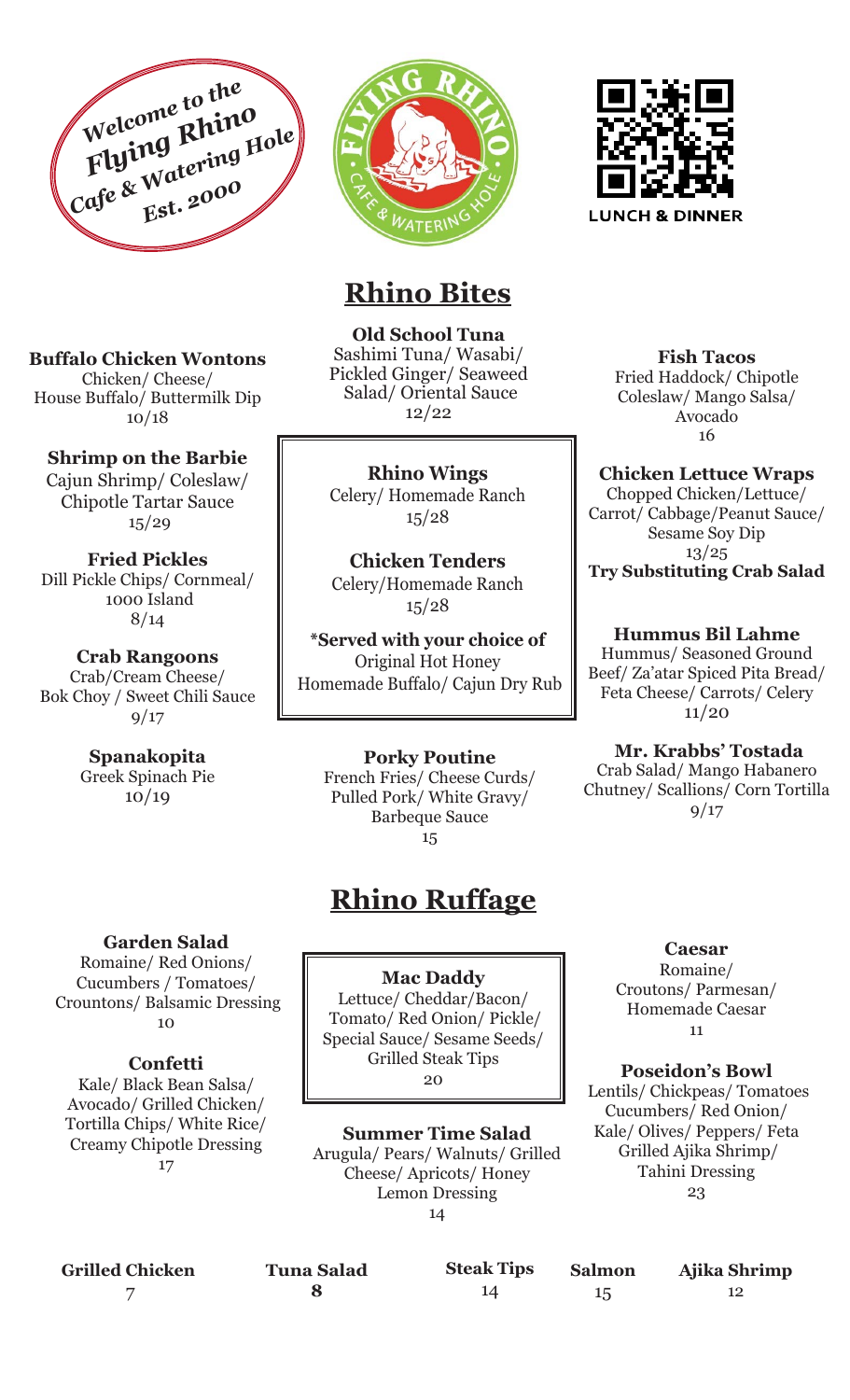





## **Rhino Bites**

**Old School Tuna** Sashimi Tuna/ Wasabi/ Pickled Ginger/ Seaweed Salad/ Oriental Sauce 12/22

**Rhino Wings**  Celery/ Homemade Ranch 15/28

**Chicken Tenders** Celery/Homemade Ranch 15/28

**\*Served with your choice of** Original Hot Honey Homemade Buffalo/ Cajun Dry Rub

> **Porky Poutine**  French Fries/ Cheese Curds/ Pulled Pork/ White Gravy/ Barbeque Sauce 15

# **Rhino Ruffage**

**Mac Daddy** Lettuce/ Cheddar/Bacon/ Tomato/ Red Onion/ Pickle/ Special Sauce/ Sesame Seeds/ Grilled Steak Tips 20

**Summer Time Salad** Arugula/ Pears/ Walnuts/ Grilled Cheese/ Apricots/ Honey Lemon Dressing 14



**Fish Tacos** Fried Haddock/ Chipotle Coleslaw/ Mango Salsa/ Avocado 16

**Chicken Lettuce Wraps**  Chopped Chicken/Lettuce/ Carrot/ Cabbage/Peanut Sauce/ Sesame Soy Dip 13/25 **Try Substituting Crab Salad**

**Hummus Bil Lahme** Hummus/ Seasoned Ground Beef/ Za'atar Spiced Pita Bread/ Feta Cheese/ Carrots/ Celery 11/20

 **Mr. Krabbs' Tostada** Crab Salad/ Mango Habanero Chutney/ Scallions/ Corn Tortilla 9/17

> **Caesar**  Romaine/ Croutons/ Parmesan/ Homemade Caesar 11

**Poseidon's Bowl** Lentils/ Chickpeas/ Tomatoes

Cucumbers/ Red Onion/ Kale/ Olives/ Peppers/ Feta Grilled Ajika Shrimp/ Tahini Dressing 23

**Buffalo Chicken Wontons** Chicken/ Cheese/ House Buffalo/ Buttermilk Dip 10/18

**Shrimp on the Barbie**

Cajun Shrimp/ Coleslaw/ Chipotle Tartar Sauce 15/29

**Fried Pickles**  Dill Pickle Chips/ Cornmeal/ 1000 Island 8/14

**Crab Rangoons** Crab/Cream Cheese/ Bok Choy / Sweet Chili Sauce 9/17

> **Spanakopita** Greek Spinach Pie 10/19

> > **Garden Salad**

Romaine/ Red Onions/ Cucumbers / Tomatoes/ Crountons/ Balsamic Dressing 10

#### **Confetti**

Kale/ Black Bean Salsa/ Avocado/ Grilled Chicken/ Tortilla Chips/ White Rice/ Creamy Chipotle Dressing 17

**Tuna Salad 8**

**Steak Tips**

14

**Salmon** 15

**Ajika Shrimp** 12

**Grilled Chicken** 7